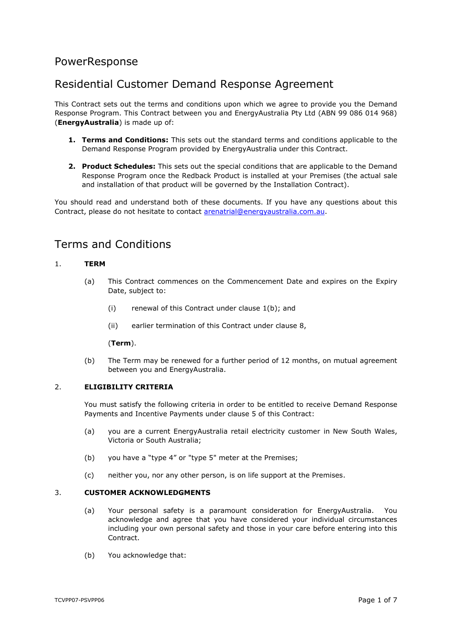# PowerResponse

# Residential Customer Demand Response Agreement

This Contract sets out the terms and conditions upon which we agree to provide you the Demand Response Program. This Contract between you and EnergyAustralia Pty Ltd (ABN 99 086 014 968) (**EnergyAustralia**) is made up of:

- **1. Terms and Conditions:** This sets out the standard terms and conditions applicable to the Demand Response Program provided by EnergyAustralia under this Contract.
- **2. Product Schedules:** This sets out the special conditions that are applicable to the Demand Response Program once the Redback Product is installed at your Premises (the actual sale and installation of that product will be governed by the Installation Contract).

You should read and understand both of these documents. If you have any questions about this Contract, please do not hesitate to contact [arenatrial@energyaustralia.com.au.](mailto:arenatrial@energyaustralia.com.au)

# Terms and Conditions

# <span id="page-0-2"></span>1. **TERM**

- (a) This Contract commences on the Commencement Date and expires on the Expiry Date, subject to:
	- (i) renewal of this Contract under clause [1\(b\);](#page-0-0) and
	- (ii) earlier termination of this Contract under clause [8,](#page-3-0)

#### (**Term**).

(b) The Term may be renewed for a further period of 12 months, on mutual agreement between you and EnergyAustralia.

# <span id="page-0-1"></span><span id="page-0-0"></span>2. **ELIGIBILITY CRITERIA**

You must satisfy the following criteria in order to be entitled to receive Demand Response Payments and Incentive Payments under clause [5](#page-1-0) of this Contract:

- (a) you are a current EnergyAustralia retail electricity customer in New South Wales, Victoria or South Australia;
- (b) you have a "type 4" or "type 5" meter at the Premises;
- (c) neither you, nor any other person, is on life support at the Premises.

#### 3. **CUSTOMER ACKNOWLEDGMENTS**

- (a) Your personal safety is a paramount consideration for EnergyAustralia. You acknowledge and agree that you have considered your individual circumstances including your own personal safety and those in your care before entering into this **Contract**
- (b) You acknowledge that: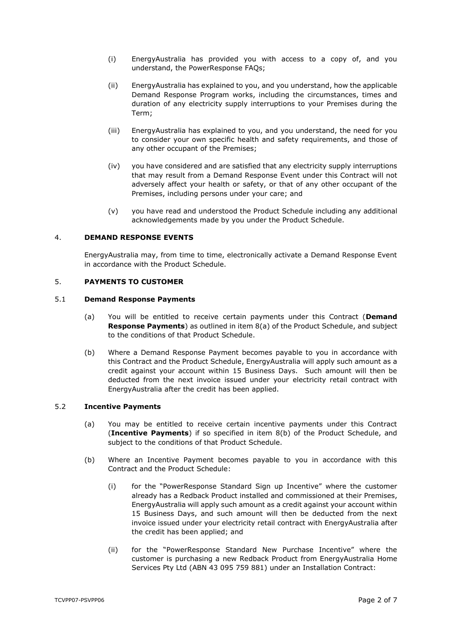- (i) EnergyAustralia has provided you with access to a copy of, and you understand, the PowerResponse FAQs;
- (ii) EnergyAustralia has explained to you, and you understand, how the applicable Demand Response Program works, including the circumstances, times and duration of any electricity supply interruptions to your Premises during the Term;
- (iii) EnergyAustralia has explained to you, and you understand, the need for you to consider your own specific health and safety requirements, and those of any other occupant of the Premises;
- (iv) you have considered and are satisfied that any electricity supply interruptions that may result from a Demand Response Event under this Contract will not adversely affect your health or safety, or that of any other occupant of the Premises, including persons under your care; and
- (v) you have read and understood the Product Schedule including any additional acknowledgements made by you under the Product Schedule.

# 4. **DEMAND RESPONSE EVENTS**

EnergyAustralia may, from time to time, electronically activate a Demand Response Event in accordance with the Product Schedule.

## <span id="page-1-0"></span>5. **PAYMENTS TO CUSTOMER**

#### <span id="page-1-4"></span><span id="page-1-3"></span>5.1 **Demand Response Payments**

- (a) You will be entitled to receive certain payments under this Contract (**Demand Response Payments**) as outlined in item [8\(a\)](#page-9-0) of the Product Schedule, and subject to the conditions of that Product Schedule.
- (b) Where a Demand Response Payment becomes payable to you in accordance with this Contract and the Product Schedule, EnergyAustralia will apply such amount as a credit against your account within 15 Business Days. Such amount will then be deducted from the next invoice issued under your electricity retail contract with EnergyAustralia after the credit has been applied.

#### <span id="page-1-5"></span>5.2 **Incentive Payments**

- (a) You may be entitled to receive certain incentive payments under this Contract (**Incentive Payments**) if so specified in item [8\(b\)](#page-9-1) of the Product Schedule, and subject to the conditions of that Product Schedule.
- <span id="page-1-2"></span><span id="page-1-1"></span>(b) Where an Incentive Payment becomes payable to you in accordance with this Contract and the Product Schedule:
	- (i) for the "PowerResponse Standard Sign up Incentive" where the customer already has a Redback Product installed and commissioned at their Premises, EnergyAustralia will apply such amount as a credit against your account within 15 Business Days, and such amount will then be deducted from the next invoice issued under your electricity retail contract with EnergyAustralia after the credit has been applied; and
	- (ii) for the "PowerResponse Standard New Purchase Incentive" where the customer is purchasing a new Redback Product from EnergyAustralia Home Services Pty Ltd (ABN 43 095 759 881) under an Installation Contract: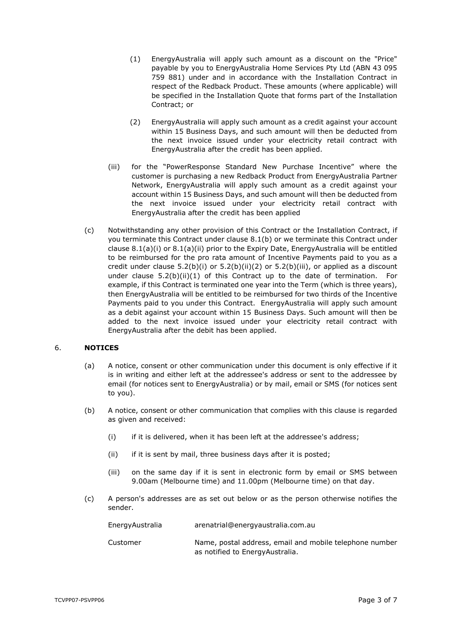- <span id="page-2-2"></span>(1) EnergyAustralia will apply such amount as a discount on the "Price" payable by you to EnergyAustralia Home Services Pty Ltd (ABN 43 095 759 881) under and in accordance with the Installation Contract in respect of the Redback Product. These amounts (where applicable) will be specified in the Installation Quote that forms part of the Installation Contract; or
- (2) EnergyAustralia will apply such amount as a credit against your account within 15 Business Days, and such amount will then be deducted from the next invoice issued under your electricity retail contract with EnergyAustralia after the credit has been applied.
- <span id="page-2-1"></span><span id="page-2-0"></span>(iii) for the "PowerResponse Standard New Purchase Incentive" where the customer is purchasing a new Redback Product from EnergyAustralia Partner Network, EnergyAustralia will apply such amount as a credit against your account within 15 Business Days, and such amount will then be deducted from the next invoice issued under your electricity retail contract with EnergyAustralia after the credit has been applied
- <span id="page-2-3"></span>(c) Notwithstanding any other provision of this Contract or the Installation Contract, if you terminate this Contract under clause [8.1\(b\)](#page-3-1) or we terminate this Contract under clause [8.1\(a\)\(i\)](#page-3-2) or [8.1\(a\)\(ii\)](#page-3-3) prior to the Expiry Date, EnergyAustralia will be entitled to be reimbursed for the pro rata amount of Incentive Payments paid to you as a credit under clause  $5.2(b)(i)$  or  $5.2(b)(ii)(2)$  $5.2(b)(ii)(2)$  or  $5.2(b)(iii)$ , or applied as a discount under clause  $5.2(b)(ii)(1)$  $5.2(b)(ii)(1)$  of this Contract up to the date of termination. For example, if this Contract is terminated one year into the Term (which is three years), then EnergyAustralia will be entitled to be reimbursed for two thirds of the Incentive Payments paid to you under this Contract. EnergyAustralia will apply such amount as a debit against your account within 15 Business Days. Such amount will then be added to the next invoice issued under your electricity retail contract with EnergyAustralia after the debit has been applied.

#### 6. **NOTICES**

- (a) A notice, consent or other communication under this document is only effective if it is in writing and either left at the addressee's address or sent to the addressee by email (for notices sent to EnergyAustralia) or by mail, email or SMS (for notices sent to you).
- (b) A notice, consent or other communication that complies with this clause is regarded as given and received:
	- (i) if it is delivered, when it has been left at the addressee's address;
	- (ii) if it is sent by mail, three business days after it is posted;
	- (iii) on the same day if it is sent in electronic form by email or SMS between 9.00am (Melbourne time) and 11.00pm (Melbourne time) on that day.
- (c) A person's addresses are as set out below or as the person otherwise notifies the sender.

| EnergyAustralia | arenatrial@energyaustralia.com.au                                                           |
|-----------------|---------------------------------------------------------------------------------------------|
| Customer        | Name, postal address, email and mobile telephone number<br>as notified to Energy Australia. |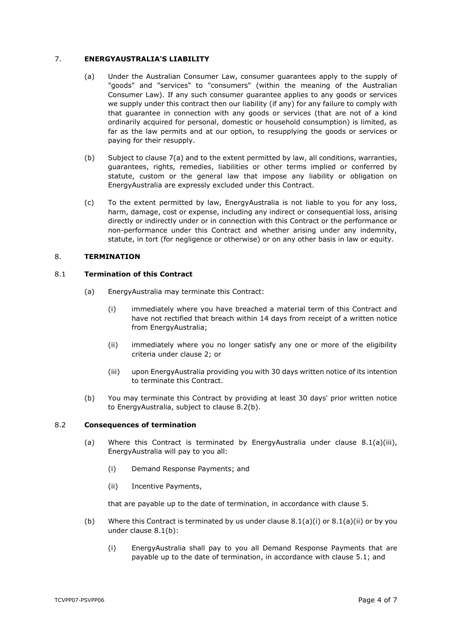## <span id="page-3-4"></span>7. **ENERGYAUSTRALIA'S LIABILITY**

- (a) Under the Australian Consumer Law, consumer guarantees apply to the supply of "goods" and "services" to "consumers" (within the meaning of the Australian Consumer Law). If any such consumer guarantee applies to any goods or services we supply under this contract then our liability (if any) for any failure to comply with that guarantee in connection with any goods or services (that are not of a kind ordinarily acquired for personal, domestic or household consumption) is limited, as far as the law permits and at our option, to resupplying the goods or services or paying for their resupply.
- (b) Subject to clause [7\(a\)](#page-3-4) and to the extent permitted by law, all conditions, warranties, guarantees, rights, remedies, liabilities or other terms implied or conferred by statute, custom or the general law that impose any liability or obligation on EnergyAustralia are expressly excluded under this Contract.
- (c) To the extent permitted by law, EnergyAustralia is not liable to you for any loss, harm, damage, cost or expense, including any indirect or consequential loss, arising directly or indirectly under or in connection with this Contract or the performance or non-performance under this Contract and whether arising under any indemnity, statute, in tort (for negligence or otherwise) or on any other basis in law or equity.

## <span id="page-3-0"></span>8. **TERMINATION**

### <span id="page-3-2"></span>8.1 **Termination of this Contract**

- <span id="page-3-3"></span>(a) EnergyAustralia may terminate this Contract:
	- (i) immediately where you have breached a material term of this Contract and have not rectified that breach within 14 days from receipt of a written notice from EnergyAustralia;
	- (ii) immediately where you no longer satisfy any one or more of the eligibility criteria under clause [2;](#page-0-1) or
	- (iii) upon EnergyAustralia providing you with 30 days written notice of its intention to terminate this Contract.
- <span id="page-3-6"></span>(b) You may terminate this Contract by providing at least 30 days' prior written notice to EnergyAustralia, subject to clause [8.2\(b\).](#page-3-5)

#### <span id="page-3-1"></span>8.2 **Consequences of termination**

- (a) Where this Contract is terminated by EnergyAustralia under clause [8.1\(a\)\(iii\),](#page-3-6) EnergyAustralia will pay to you all:
	- (i) Demand Response Payments; and
	- (ii) Incentive Payments,

that are payable up to the date of termination, in accordance with clause [5.](#page-1-0)

- <span id="page-3-5"></span>(b) Where this Contract is terminated by us under clause  $8.1(a)(i)$  or  $8.1(a)(ii)$  or by you under clause [8.1\(b\):](#page-3-1)
	- (i) EnergyAustralia shall pay to you all Demand Response Payments that are payable up to the date of termination, in accordance with clause [5.1;](#page-1-3) and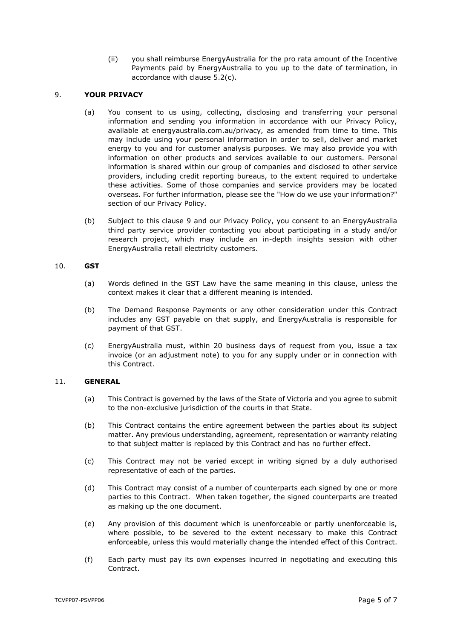(ii) you shall reimburse EnergyAustralia for the pro rata amount of the Incentive Payments paid by EnergyAustralia to you up to the date of termination, in accordance with clause [5.2\(c\).](#page-2-3)

#### <span id="page-4-0"></span>9. **YOUR PRIVACY**

- (a) You consent to us using, collecting, disclosing and transferring your personal information and sending you information in accordance with our Privacy Policy, available at energyaustralia.com.au/privacy, as amended from time to time. This may include using your personal information in order to sell, deliver and market energy to you and for customer analysis purposes. We may also provide you with information on other products and services available to our customers. Personal information is shared within our group of companies and disclosed to other service providers, including credit reporting bureaus, to the extent required to undertake these activities. Some of those companies and service providers may be located overseas. For further information, please see the "How do we use your information?" section of our Privacy Policy.
- (b) Subject to this clause [9](#page-4-0) and our Privacy Policy, you consent to an EnergyAustralia third party service provider contacting you about participating in a study and/or research project, which may include an in-depth insights session with other EnergyAustralia retail electricity customers.

#### 10. **GST**

- (a) Words defined in the GST Law have the same meaning in this clause, unless the context makes it clear that a different meaning is intended.
- (b) The Demand Response Payments or any other consideration under this Contract includes any GST payable on that supply, and EnergyAustralia is responsible for payment of that GST.
- (c) EnergyAustralia must, within 20 business days of request from you, issue a tax invoice (or an adjustment note) to you for any supply under or in connection with this Contract.

#### 11. **GENERAL**

- (a) This Contract is governed by the laws of the State of Victoria and you agree to submit to the non-exclusive jurisdiction of the courts in that State.
- (b) This Contract contains the entire agreement between the parties about its subject matter. Any previous understanding, agreement, representation or warranty relating to that subject matter is replaced by this Contract and has no further effect.
- (c) This Contract may not be varied except in writing signed by a duly authorised representative of each of the parties.
- (d) This Contract may consist of a number of counterparts each signed by one or more parties to this Contract. When taken together, the signed counterparts are treated as making up the one document.
- (e) Any provision of this document which is unenforceable or partly unenforceable is, where possible, to be severed to the extent necessary to make this Contract enforceable, unless this would materially change the intended effect of this Contract.
- (f) Each party must pay its own expenses incurred in negotiating and executing this Contract.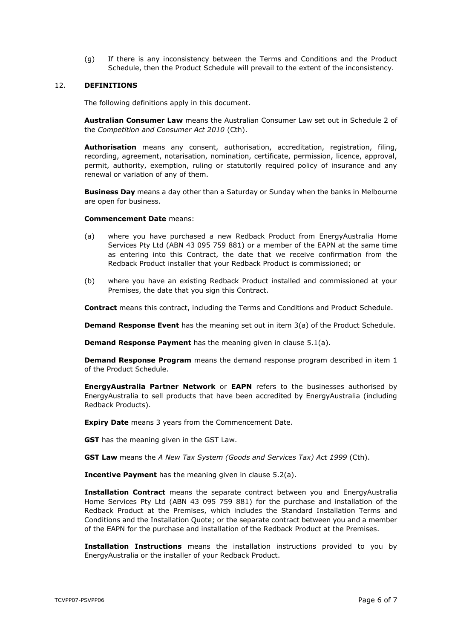(g) If there is any inconsistency between the Terms and Conditions and the Product Schedule, then the Product Schedule will prevail to the extent of the inconsistency.

#### 12. **DEFINITIONS**

The following definitions apply in this document.

**Australian Consumer Law** means the Australian Consumer Law set out in Schedule 2 of the *Competition and Consumer Act 2010* (Cth).

**Authorisation** means any consent, authorisation, accreditation, registration, filing, recording, agreement, notarisation, nomination, certificate, permission, licence, approval, permit, authority, exemption, ruling or statutorily required policy of insurance and any renewal or variation of any of them.

**Business Day** means a day other than a Saturday or Sunday when the banks in Melbourne are open for business.

#### **Commencement Date** means:

- (a) where you have purchased a new Redback Product from EnergyAustralia Home Services Pty Ltd (ABN 43 095 759 881) or a member of the EAPN at the same time as entering into this Contract, the date that we receive confirmation from the Redback Product installer that your Redback Product is commissioned; or
- (b) where you have an existing Redback Product installed and commissioned at your Premises, the date that you sign this Contract.

**Contract** means this contract, including the Terms and Conditions and Product Schedule.

**Demand Response Event** has the meaning set out in item [3\(a\)](#page-7-0) of the Product Schedule.

**Demand Response Payment** has the meaning given in clause [5.1\(a\).](#page-1-4)

**Demand Response Program** means the demand response program described in item [1](#page-7-1) of the Product Schedule.

**EnergyAustralia Partner Network** or **EAPN** refers to the businesses authorised by EnergyAustralia to sell products that have been accredited by EnergyAustralia (including Redback Products).

**Expiry Date** means 3 years from the Commencement Date.

**GST** has the meaning given in the GST Law.

**GST Law** means the *A New Tax System (Goods and Services Tax) Act 1999* (Cth).

**Incentive Payment** has the meaning given in clause [5.2\(a\).](#page-1-5)

**Installation Contract** means the separate contract between you and EnergyAustralia Home Services Pty Ltd (ABN 43 095 759 881) for the purchase and installation of the Redback Product at the Premises, which includes the Standard Installation Terms and Conditions and the Installation Quote; or the separate contract between you and a member of the EAPN for the purchase and installation of the Redback Product at the Premises.

**Installation Instructions** means the installation instructions provided to you by EnergyAustralia or the installer of your Redback Product.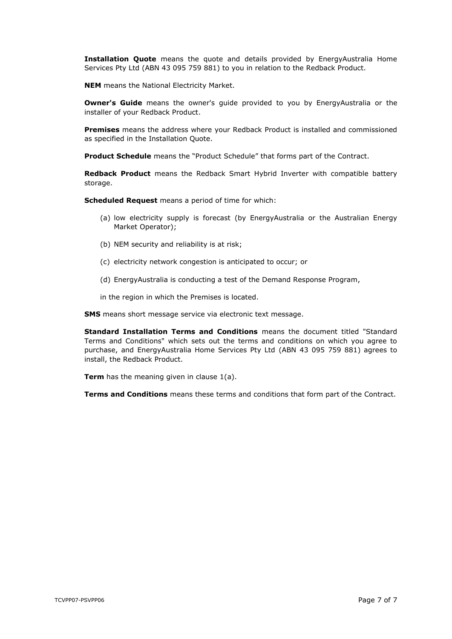**Installation Quote** means the quote and details provided by EnergyAustralia Home Services Pty Ltd (ABN 43 095 759 881) to you in relation to the Redback Product.

**NEM** means the National Electricity Market.

**Owner's Guide** means the owner's guide provided to you by EnergyAustralia or the installer of your Redback Product.

**Premises** means the address where your Redback Product is installed and commissioned as specified in the Installation Quote.

**Product Schedule** means the "Product Schedule" that forms part of the Contract.

**Redback Product** means the Redback Smart Hybrid Inverter with compatible battery storage.

**Scheduled Request** means a period of time for which:

- (a) low electricity supply is forecast (by EnergyAustralia or the Australian Energy Market Operator);
- (b) NEM security and reliability is at risk;
- (c) electricity network congestion is anticipated to occur; or
- (d) EnergyAustralia is conducting a test of the Demand Response Program,

in the region in which the Premises is located.

**SMS** means short message service via electronic text message.

**Standard Installation Terms and Conditions** means the document titled "Standard Terms and Conditions" which sets out the terms and conditions on which you agree to purchase, and EnergyAustralia Home Services Pty Ltd (ABN 43 095 759 881) agrees to install, the Redback Product.

**Term** has the meaning given in clause [1\(a\).](#page-0-2)

**Terms and Conditions** means these terms and conditions that form part of the Contract.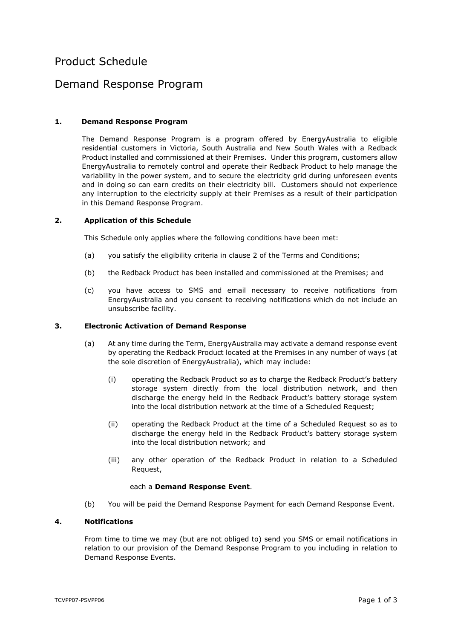# Product Schedule

# Demand Response Program

## <span id="page-7-1"></span>**1. Demand Response Program**

The Demand Response Program is a program offered by EnergyAustralia to eligible residential customers in Victoria, South Australia and New South Wales with a Redback Product installed and commissioned at their Premises. Under this program, customers allow EnergyAustralia to remotely control and operate their Redback Product to help manage the variability in the power system, and to secure the electricity grid during unforeseen events and in doing so can earn credits on their electricity bill. Customers should not experience any interruption to the electricity supply at their Premises as a result of their participation in this Demand Response Program.

#### **2. Application of this Schedule**

This Schedule only applies where the following conditions have been met:

- (a) you satisfy the eligibility criteria in clause [2](#page-0-1) of the Terms and Conditions;
- (b) the Redback Product has been installed and commissioned at the Premises; and
- (c) you have access to SMS and email necessary to receive notifications from EnergyAustralia and you consent to receiving notifications which do not include an unsubscribe facility.

#### <span id="page-7-0"></span>**3. Electronic Activation of Demand Response**

- (a) At any time during the Term, EnergyAustralia may activate a demand response event by operating the Redback Product located at the Premises in any number of ways (at the sole discretion of EnergyAustralia), which may include:
	- (i) operating the Redback Product so as to charge the Redback Product's battery storage system directly from the local distribution network, and then discharge the energy held in the Redback Product's battery storage system into the local distribution network at the time of a Scheduled Request;
	- (ii) operating the Redback Product at the time of a Scheduled Request so as to discharge the energy held in the Redback Product's battery storage system into the local distribution network; and
	- (iii) any other operation of the Redback Product in relation to a Scheduled Request,

#### each a **Demand Response Event**.

(b) You will be paid the Demand Response Payment for each Demand Response Event.

#### **4. Notifications**

From time to time we may (but are not obliged to) send you SMS or email notifications in relation to our provision of the Demand Response Program to you including in relation to Demand Response Events.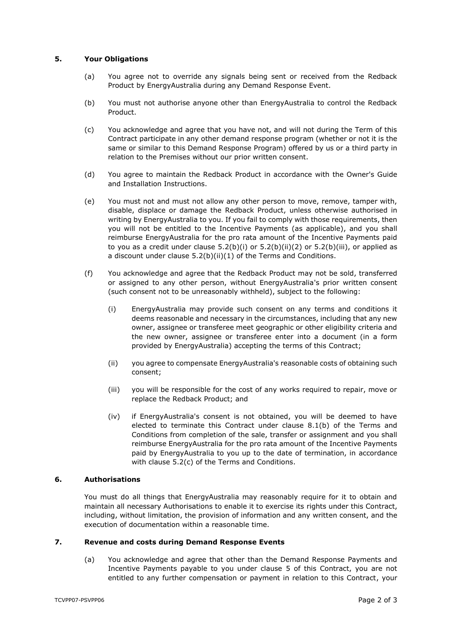## **5. Your Obligations**

- (a) You agree not to override any signals being sent or received from the Redback Product by EnergyAustralia during any Demand Response Event.
- (b) You must not authorise anyone other than EnergyAustralia to control the Redback Product.
- (c) You acknowledge and agree that you have not, and will not during the Term of this Contract participate in any other demand response program (whether or not it is the same or similar to this Demand Response Program) offered by us or a third party in relation to the Premises without our prior written consent.
- (d) You agree to maintain the Redback Product in accordance with the Owner's Guide and Installation Instructions.
- (e) You must not and must not allow any other person to move, remove, tamper with, disable, displace or damage the Redback Product, unless otherwise authorised in writing by EnergyAustralia to you. If you fail to comply with those requirements, then you will not be entitled to the Incentive Payments (as applicable), and you shall reimburse EnergyAustralia for the pro rata amount of the Incentive Payments paid to you as a credit under clause  $5.2(b)(i)$  or  $5.2(b)(ii)(2)$  $5.2(b)(ii)(2)$  or  $5.2(b)(iii)$ , or applied as a discount under clause [5.2\(b\)\(ii\)](#page-1-2)[\(1\)](#page-2-2) of the Terms and Conditions.
- (f) You acknowledge and agree that the Redback Product may not be sold, transferred or assigned to any other person, without EnergyAustralia's prior written consent (such consent not to be unreasonably withheld), subject to the following:
	- (i) EnergyAustralia may provide such consent on any terms and conditions it deems reasonable and necessary in the circumstances, including that any new owner, assignee or transferee meet geographic or other eligibility criteria and the new owner, assignee or transferee enter into a document (in a form provided by EnergyAustralia) accepting the terms of this Contract;
	- (ii) you agree to compensate EnergyAustralia's reasonable costs of obtaining such consent;
	- (iii) you will be responsible for the cost of any works required to repair, move or replace the Redback Product; and
	- (iv) if EnergyAustralia's consent is not obtained, you will be deemed to have elected to terminate this Contract under clause [8.1\(b\)](#page-3-1) of the Terms and Conditions from completion of the sale, transfer or assignment and you shall reimburse EnergyAustralia for the pro rata amount of the Incentive Payments paid by EnergyAustralia to you up to the date of termination, in accordance with clause [5.2\(c\)](#page-2-3) of the Terms and Conditions.

#### **6. Authorisations**

You must do all things that EnergyAustralia may reasonably require for it to obtain and maintain all necessary Authorisations to enable it to exercise its rights under this Contract, including, without limitation, the provision of information and any written consent, and the execution of documentation within a reasonable time.

#### **7. Revenue and costs during Demand Response Events**

(a) You acknowledge and agree that other than the Demand Response Payments and Incentive Payments payable to you under clause [5](#page-1-0) of this Contract, you are not entitled to any further compensation or payment in relation to this Contract, your